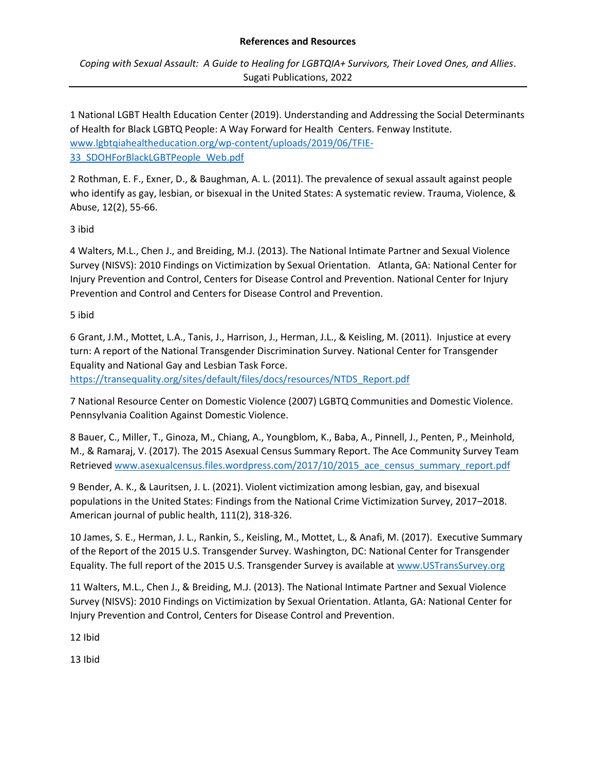*Coping with Sexual Assault: A Guide to Healing for LGBTQIA+ Survivors, Their Loved Ones, and Allies*. Sugati Publications, 2022

1 National LGBT Health Education Center (2019). Understanding and Addressing the Social Determinants of Health for Black LGBTQ People: A Way Forward for Health Centers. Fenway Institute. [www.lgbtqiahealtheducation.org/wp-content/uploads/2019/06/TFIE-](http://www.lgbtqiahealtheducation.org/wp-content/uploads/2019/06/TFIE-33_SDOHForBlackLGBTPeople_Web.pdf)[33\\_SDOHForBlackLGBTPeople\\_Web.pdf](http://www.lgbtqiahealtheducation.org/wp-content/uploads/2019/06/TFIE-33_SDOHForBlackLGBTPeople_Web.pdf)

2 Rothman, E. F., Exner, D., & Baughman, A. L. (2011). The prevalence of sexual assault against people who identify as gay, lesbian, or bisexual in the United States: A systematic review. Trauma, Violence, & Abuse, 12(2), 55-66.

3 ibid

4 Walters, M.L., Chen J., and Breiding, M.J. (2013). The National Intimate Partner and Sexual Violence Survey (NISVS): 2010 Findings on Victimization by Sexual Orientation. Atlanta, GA: National Center for Injury Prevention and Control, Centers for Disease Control and Prevention. National Center for Injury Prevention and Control and Centers for Disease Control and Prevention.

# 5 ibid

6 Grant, J.M., Mottet, L.A., Tanis, J., Harrison, J., Herman, J.L., & Keisling, M. (2011). Injustice at every turn: A report of the National Transgender Discrimination Survey. National Center for Transgender Equality and National Gay and Lesbian Task Force.

[https://transequality.org/sites/default/files/docs/resources/NTDS\\_Report.pdf](https://transequality.org/sites/default/files/docs/resources/NTDS_Report.pdf)

7 National Resource Center on Domestic Violence (2007) LGBTQ Communities and Domestic Violence. Pennsylvania Coalition Against Domestic Violence.

8 Bauer, C., Miller, T., Ginoza, M., Chiang, A., Youngblom, K., Baba, A., Pinnell, J., Penten, P., Meinhold, M., & Ramaraj, V. (2017). The 2015 Asexual Census Summary Report. The Ace Community Survey Team Retrieve[d www.asexualcensus.files.wordpress.com/2017/10/2015\\_ace\\_census\\_summary\\_report.pdf](http://www.asexualcensus.files.wordpress.com/2017/10/2015_ace_census_summary_report.pdf)

9 Bender, A. K., & Lauritsen, J. L. (2021). Violent victimization among lesbian, gay, and bisexual populations in the United States: Findings from the National Crime Victimization Survey, 2017–2018. American journal of public health, 111(2), 318-326.

10 James, S. E., Herman, J. L., Rankin, S., Keisling, M., Mottet, L., & Anafi, M. (2017). Executive Summary of the Report of the 2015 U.S. Transgender Survey. Washington, DC: National Center for Transgender Equality. The full report of the 2015 U.S. Transgender Survey is available at [www.USTransSurvey.org](http://www.ustranssurvey.org/)

11 Walters, M.L., Chen J., & Breiding, M.J. (2013). The National Intimate Partner and Sexual Violence Survey (NISVS): 2010 Findings on Victimization by Sexual Orientation. Atlanta, GA: National Center for Injury Prevention and Control, Centers for Disease Control and Prevention.

12 Ibid

13 Ibid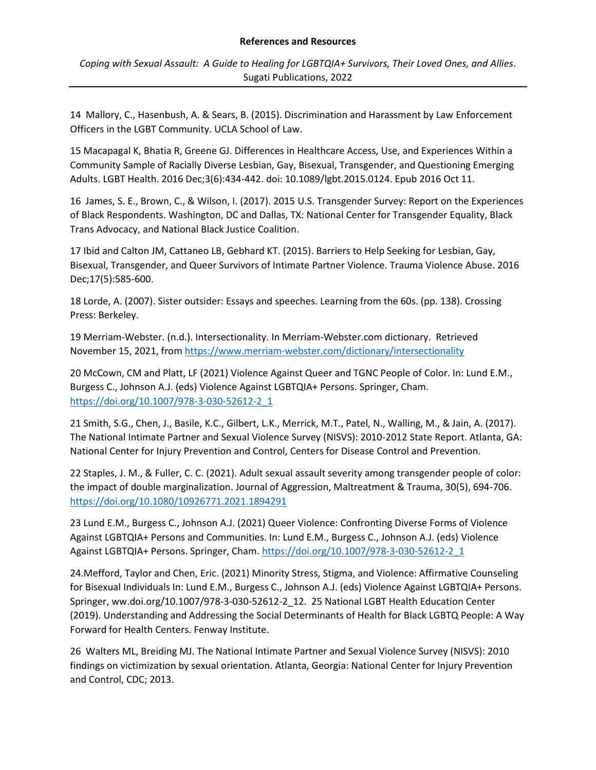*Coping with Sexual Assault: A Guide to Healing for LGBTQIA+ Survivors, Their Loved Ones, and Allies*. Sugati Publications, 2022

14 Mallory, C., Hasenbush, A. & Sears, B. (2015). Discrimination and Harassment by Law Enforcement Officers in the LGBT Community. UCLA School of Law.

15 Macapagal K, Bhatia R, Greene GJ. Differences in Healthcare Access, Use, and Experiences Within a Community Sample of Racially Diverse Lesbian, Gay, Bisexual, Transgender, and Questioning Emerging Adults. LGBT Health. 2016 Dec;3(6):434-442. doi: 10.1089/lgbt.2015.0124. Epub 2016 Oct 11.

16 James, S. E., Brown, C., & Wilson, I. (2017). 2015 U.S. Transgender Survey: Report on the Experiences of Black Respondents. Washington, DC and Dallas, TX: National Center for Transgender Equality, Black Trans Advocacy, and National Black Justice Coalition.

17 Ibid and Calton JM, Cattaneo LB, Gebhard KT. (2015). Barriers to Help Seeking for Lesbian, Gay, Bisexual, Transgender, and Queer Survivors of Intimate Partner Violence. Trauma Violence Abuse. 2016 Dec;17(5):585-600.

18 Lorde, A. (2007). Sister outsider: Essays and speeches. Learning from the 60s. (pp. 138). Crossing Press: Berkeley.

19 Merriam-Webster. (n.d.). Intersectionality. In Merriam-Webster.com dictionary. Retrieved November 15, 2021, from<https://www.merriam-webster.com/dictionary/intersectionality>

20 McCown, CM and Platt, LF (2021) Violence Against Queer and TGNC People of Color. In: Lund E.M., Burgess C., Johnson A.J. (eds) Violence Against LGBTQIA+ Persons. Springer, Cham. [https://doi.org/10.1007/978-3-030-52612-2\\_1](https://doi.org/10.1007/978-3-030-52612-2_1)

21 Smith, S.G., Chen, J., Basile, K.C., Gilbert, L.K., Merrick, M.T., Patel, N., Walling, M., & Jain, A. (2017). The National Intimate Partner and Sexual Violence Survey (NISVS): 2010-2012 State Report. Atlanta, GA: National Center for Injury Prevention and Control, Centers for Disease Control and Prevention.

22 Staples, J. M., & Fuller, C. C. (2021). Adult sexual assault severity among transgender people of color: the impact of double marginalization. Journal of Aggression, Maltreatment & Trauma, 30(5), 694-706. <https://doi.org/10.1080/10926771.2021.1894291>

23 Lund E.M., Burgess C., Johnson A.J. (2021) Queer Violence: Confronting Diverse Forms of Violence Against LGBTQIA+ Persons and Communities. In: Lund E.M., Burgess C., Johnson A.J. (eds) Violence Against LGBTQIA+ Persons. Springer, Cham. [https://doi.org/10.1007/978-3-030-52612-2\\_1](https://doi.org/10.1007/978-3-030-52612-2_1)

24.Mefford, Taylor and Chen, Eric. (2021) Minority Stress, Stigma, and Violence: Affirmative Counseling for Bisexual Individuals In: Lund E.M., Burgess C., Johnson A.J. (eds) Violence Against LGBTQIA+ Persons. Springer, ww.doi.org/10.1007/978-3-030-52612-2\_12. 25 National LGBT Health Education Center (2019). Understanding and Addressing the Social Determinants of Health for Black LGBTQ People: A Way Forward for Health Centers. Fenway Institute.

26 Walters ML, Breiding MJ. The National Intimate Partner and Sexual Violence Survey (NISVS): 2010 findings on victimization by sexual orientation. Atlanta, Georgia: National Center for Injury Prevention and Control, CDC; 2013.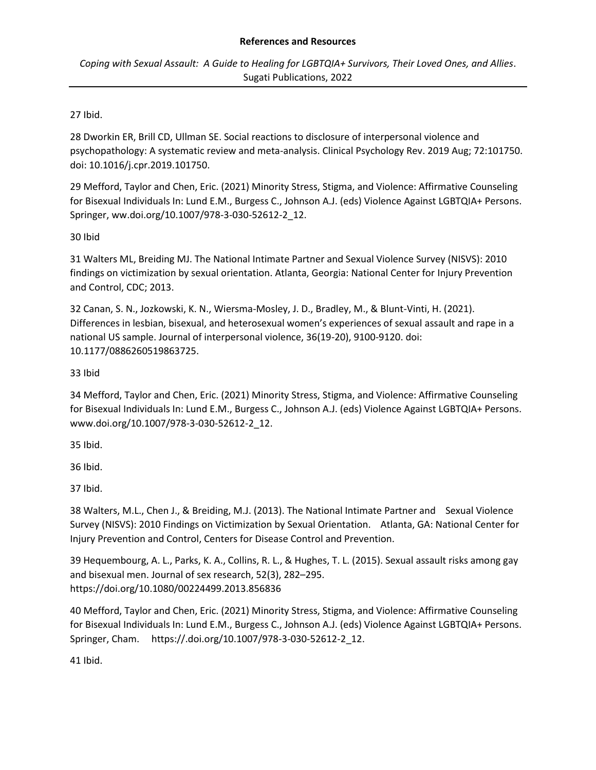*Coping with Sexual Assault: A Guide to Healing for LGBTQIA+ Survivors, Their Loved Ones, and Allies*. Sugati Publications, 2022

# 27 Ibid.

28 Dworkin ER, Brill CD, Ullman SE. Social reactions to disclosure of interpersonal violence and psychopathology: A systematic review and meta-analysis. Clinical Psychology Rev. 2019 Aug; 72:101750. doi: 10.1016/j.cpr.2019.101750.

29 Mefford, Taylor and Chen, Eric. (2021) Minority Stress, Stigma, and Violence: Affirmative Counseling for Bisexual Individuals In: Lund E.M., Burgess C., Johnson A.J. (eds) Violence Against LGBTQIA+ Persons. Springer, ww.doi.org/10.1007/978-3-030-52612-2\_12.

# 30 Ibid

31 Walters ML, Breiding MJ. The National Intimate Partner and Sexual Violence Survey (NISVS): 2010 findings on victimization by sexual orientation. Atlanta, Georgia: National Center for Injury Prevention and Control, CDC; 2013.

32 Canan, S. N., Jozkowski, K. N., Wiersma-Mosley, J. D., Bradley, M., & Blunt-Vinti, H. (2021). Differences in lesbian, bisexual, and heterosexual women's experiences of sexual assault and rape in a national US sample. Journal of interpersonal violence, 36(19-20), 9100-9120. doi: 10.1177/0886260519863725.

# 33 Ibid

34 Mefford, Taylor and Chen, Eric. (2021) Minority Stress, Stigma, and Violence: Affirmative Counseling for Bisexual Individuals In: Lund E.M., Burgess C., Johnson A.J. (eds) Violence Against LGBTQIA+ Persons. www.doi.org/10.1007/978-3-030-52612-2\_12.

35 Ibid.

36 Ibid.

37 Ibid.

38 Walters, M.L., Chen J., & Breiding, M.J. (2013). The National Intimate Partner and Sexual Violence Survey (NISVS): 2010 Findings on Victimization by Sexual Orientation. Atlanta, GA: National Center for Injury Prevention and Control, Centers for Disease Control and Prevention.

39 Hequembourg, A. L., Parks, K. A., Collins, R. L., & Hughes, T. L. (2015). Sexual assault risks among gay and bisexual men. Journal of sex research, 52(3), 282–295. https://doi.org/10.1080/00224499.2013.856836

40 Mefford, Taylor and Chen, Eric. (2021) Minority Stress, Stigma, and Violence: Affirmative Counseling for Bisexual Individuals In: Lund E.M., Burgess C., Johnson A.J. (eds) Violence Against LGBTQIA+ Persons. Springer, Cham. https://.doi.org/10.1007/978-3-030-52612-2\_12.

41 Ibid.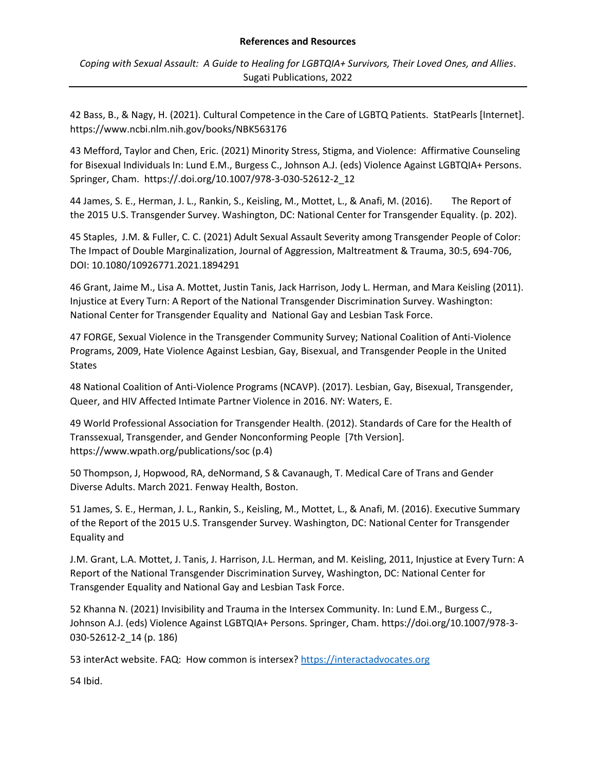*Coping with Sexual Assault: A Guide to Healing for LGBTQIA+ Survivors, Their Loved Ones, and Allies*. Sugati Publications, 2022

42 Bass, B., & Nagy, H. (2021). Cultural Competence in the Care of LGBTQ Patients. StatPearls [Internet]. https://www.ncbi.nlm.nih.gov/books/NBK563176

43 Mefford, Taylor and Chen, Eric. (2021) Minority Stress, Stigma, and Violence: Affirmative Counseling for Bisexual Individuals In: Lund E.M., Burgess C., Johnson A.J. (eds) Violence Against LGBTQIA+ Persons. Springer, Cham. https://.doi.org/10.1007/978-3-030-52612-2\_12

44 James, S. E., Herman, J. L., Rankin, S., Keisling, M., Mottet, L., & Anafi, M. (2016). The Report of the 2015 U.S. Transgender Survey. Washington, DC: National Center for Transgender Equality. (p. 202).

45 Staples, J.M. & Fuller, C. C. (2021) Adult Sexual Assault Severity among Transgender People of Color: The Impact of Double Marginalization, Journal of Aggression, Maltreatment & Trauma, 30:5, 694-706, DOI: 10.1080/10926771.2021.1894291

46 Grant, Jaime M., Lisa A. Mottet, Justin Tanis, Jack Harrison, Jody L. Herman, and Mara Keisling (2011). Injustice at Every Turn: A Report of the National Transgender Discrimination Survey. Washington: National Center for Transgender Equality and National Gay and Lesbian Task Force.

47 FORGE, Sexual Violence in the Transgender Community Survey; National Coalition of Anti-Violence Programs, 2009, Hate Violence Against Lesbian, Gay, Bisexual, and Transgender People in the United States

48 National Coalition of Anti-Violence Programs (NCAVP). (2017). Lesbian, Gay, Bisexual, Transgender, Queer, and HIV Affected Intimate Partner Violence in 2016. NY: Waters, E.

49 World Professional Association for Transgender Health. (2012). Standards of Care for the Health of Transsexual, Transgender, and Gender Nonconforming People [7th Version]. https://www.wpath.org/publications/soc (p.4)

50 Thompson, J, Hopwood, RA, deNormand, S & Cavanaugh, T. Medical Care of Trans and Gender Diverse Adults. March 2021. Fenway Health, Boston.

51 James, S. E., Herman, J. L., Rankin, S., Keisling, M., Mottet, L., & Anafi, M. (2016). Executive Summary of the Report of the 2015 U.S. Transgender Survey. Washington, DC: National Center for Transgender Equality and

J.M. Grant, L.A. Mottet, J. Tanis, J. Harrison, J.L. Herman, and M. Keisling, 2011, Injustice at Every Turn: A Report of the National Transgender Discrimination Survey, Washington, DC: National Center for Transgender Equality and National Gay and Lesbian Task Force.

52 Khanna N. (2021) Invisibility and Trauma in the Intersex Community. In: Lund E.M., Burgess C., Johnson A.J. (eds) Violence Against LGBTQIA+ Persons. Springer, Cham. https://doi.org/10.1007/978-3- 030-52612-2\_14 (p. 186)

53 interAct website. FAQ: How common is intersex? [https://interactadvocates.org](https://interactadvocates.org/)

54 Ibid.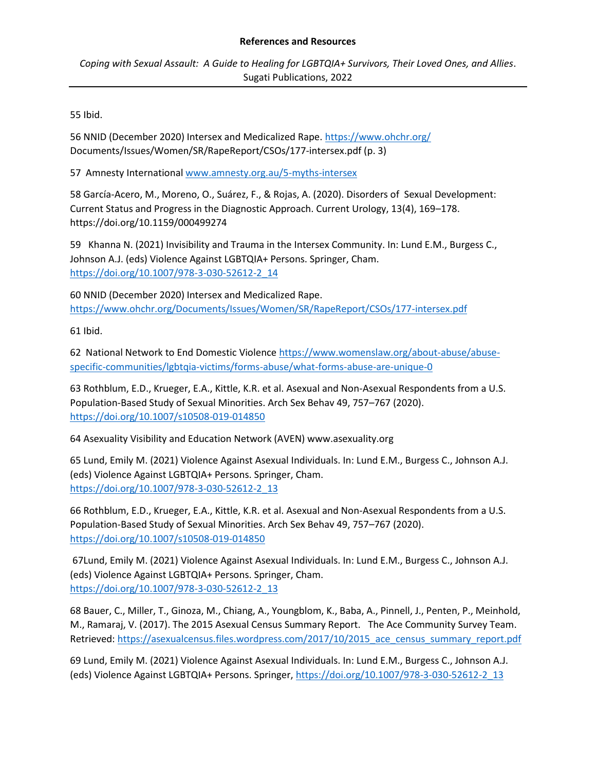*Coping with Sexual Assault: A Guide to Healing for LGBTQIA+ Survivors, Their Loved Ones, and Allies*. Sugati Publications, 2022

55 Ibid.

56 NNID (December 2020) Intersex and Medicalized Rape.<https://www.ohchr.org/> Documents/Issues/Women/SR/RapeReport/CSOs/177-intersex.pdf (p. 3)

57 Amnesty Internationa[l www.amnesty.org.au/5-myths-intersex](http://www.amnesty.org.au/5-myths-intersex)

58 García-Acero, M., Moreno, O., Suárez, F., & Rojas, A. (2020). Disorders of Sexual Development: Current Status and Progress in the Diagnostic Approach. Current Urology, 13(4), 169–178. https://doi.org/10.1159/000499274

59 Khanna N. (2021) Invisibility and Trauma in the Intersex Community. In: Lund E.M., Burgess C., Johnson A.J. (eds) Violence Against LGBTQIA+ Persons. Springer, Cham. [https://doi.org/10.1007/978-3-030-52612-2\\_14](https://doi.org/10.1007/978-3-030-52612-2_14)

60 NNID (December 2020) Intersex and Medicalized Rape. <https://www.ohchr.org/Documents/Issues/Women/SR/RapeReport/CSOs/177-intersex.pdf>

61 Ibid.

62 National Network to End Domestic Violenc[e https://www.womenslaw.org/about-abuse/abuse](https://www.womenslaw.org/about-abuse/abuse-specific-communities/lgbtqia-victims/forms-abuse/what-forms-abuse-are-unique-0)[specific-communities/lgbtqia-victims/forms-abuse/what-forms-abuse-are-unique-0](https://www.womenslaw.org/about-abuse/abuse-specific-communities/lgbtqia-victims/forms-abuse/what-forms-abuse-are-unique-0)

63 Rothblum, E.D., Krueger, E.A., Kittle, K.R. et al. Asexual and Non-Asexual Respondents from a U.S. Population-Based Study of Sexual Minorities. Arch Sex Behav 49, 757–767 (2020). <https://doi.org/10.1007/s10508-019-014850>

64 Asexuality Visibility and Education Network (AVEN) www.asexuality.org

65 Lund, Emily M. (2021) Violence Against Asexual Individuals. In: Lund E.M., Burgess C., Johnson A.J. (eds) Violence Against LGBTQIA+ Persons. Springer, Cham. [https://doi.org/10.1007/978-3-030-52612-2\\_13](https://doi.org/10.1007/978-3-030-52612-2_13)

66 Rothblum, E.D., Krueger, E.A., Kittle, K.R. et al. Asexual and Non-Asexual Respondents from a U.S. Population-Based Study of Sexual Minorities. Arch Sex Behav 49, 757–767 (2020). <https://doi.org/10.1007/s10508-019-014850>

67Lund, Emily M. (2021) Violence Against Asexual Individuals. In: Lund E.M., Burgess C., Johnson A.J. (eds) Violence Against LGBTQIA+ Persons. Springer, Cham. [https://doi.org/10.1007/978-3-030-52612-2\\_13](https://doi.org/10.1007/978-3-030-52612-2_13)

68 Bauer, C., Miller, T., Ginoza, M., Chiang, A., Youngblom, K., Baba, A., Pinnell, J., Penten, P., Meinhold, M., Ramaraj, V. (2017). The 2015 Asexual Census Summary Report. The Ace Community Survey Team. Retrieved[: https://asexualcensus.files.wordpress.com/2017/10/2015\\_ace\\_census\\_summary\\_report.pdf](https://asexualcensus.files.wordpress.com/2017/10/2015_ace_census_summary_report.pdf)

69 Lund, Emily M. (2021) Violence Against Asexual Individuals. In: Lund E.M., Burgess C., Johnson A.J. (eds) Violence Against LGBTQIA+ Persons. Springer, [https://doi.org/10.1007/978-3-030-52612-2\\_13](https://doi.org/10.1007/978-3-030-52612-2_13)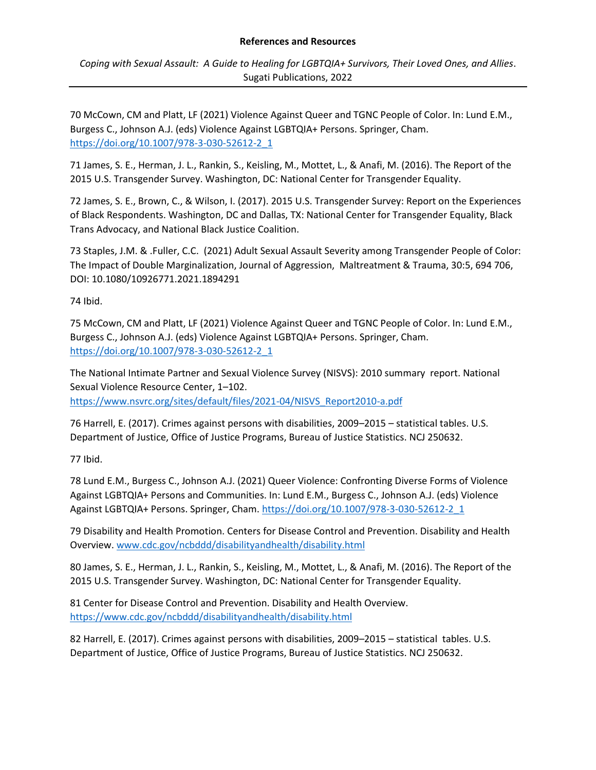*Coping with Sexual Assault: A Guide to Healing for LGBTQIA+ Survivors, Their Loved Ones, and Allies*. Sugati Publications, 2022

70 McCown, CM and Platt, LF (2021) Violence Against Queer and TGNC People of Color. In: Lund E.M., Burgess C., Johnson A.J. (eds) Violence Against LGBTQIA+ Persons. Springer, Cham. [https://doi.org/10.1007/978-3-030-52612-2\\_1](https://doi.org/10.1007/978-3-030-52612-2_1)

71 James, S. E., Herman, J. L., Rankin, S., Keisling, M., Mottet, L., & Anafi, M. (2016). The Report of the 2015 U.S. Transgender Survey. Washington, DC: National Center for Transgender Equality.

72 James, S. E., Brown, C., & Wilson, I. (2017). 2015 U.S. Transgender Survey: Report on the Experiences of Black Respondents. Washington, DC and Dallas, TX: National Center for Transgender Equality, Black Trans Advocacy, and National Black Justice Coalition.

73 Staples, J.M. & .Fuller, C.C. (2021) Adult Sexual Assault Severity among Transgender People of Color: The Impact of Double Marginalization, Journal of Aggression, Maltreatment & Trauma, 30:5, 694 706, DOI: 10.1080/10926771.2021.1894291

74 Ibid.

75 McCown, CM and Platt, LF (2021) Violence Against Queer and TGNC People of Color. In: Lund E.M., Burgess C., Johnson A.J. (eds) Violence Against LGBTQIA+ Persons. Springer, Cham. [https://doi.org/10.1007/978-3-030-52612-2\\_1](https://doi.org/10.1007/978-3-030-52612-2_1)

The National Intimate Partner and Sexual Violence Survey (NISVS): 2010 summary report. National Sexual Violence Resource Center, 1–102. [https://www.nsvrc.org/sites/default/files/2021-04/NISVS\\_Report2010-a.pdf](https://www.nsvrc.org/sites/default/files/2021-04/NISVS_Report2010-a.pdf) 

76 Harrell, E. (2017). Crimes against persons with disabilities, 2009–2015 – statistical tables. U.S. Department of Justice, Office of Justice Programs, Bureau of Justice Statistics. NCJ 250632.

77 Ibid.

78 Lund E.M., Burgess C., Johnson A.J. (2021) Queer Violence: Confronting Diverse Forms of Violence Against LGBTQIA+ Persons and Communities. In: Lund E.M., Burgess C., Johnson A.J. (eds) Violence Against LGBTQIA+ Persons. Springer, Cham. [https://doi.org/10.1007/978-3-030-52612-2\\_1](https://doi.org/10.1007/978-3-030-52612-2_1)

79 Disability and Health Promotion. Centers for Disease Control and Prevention. Disability and Health Overview[. www.cdc.gov/ncbddd/disabilityandhealth/disability.html](http://www.cdc.gov/ncbddd/disabilityandhealth/disability.html)

80 James, S. E., Herman, J. L., Rankin, S., Keisling, M., Mottet, L., & Anafi, M. (2016). The Report of the 2015 U.S. Transgender Survey. Washington, DC: National Center for Transgender Equality.

81 Center for Disease Control and Prevention. Disability and Health Overview. <https://www.cdc.gov/ncbddd/disabilityandhealth/disability.html>

82 Harrell, E. (2017). Crimes against persons with disabilities, 2009–2015 – statistical tables. U.S. Department of Justice, Office of Justice Programs, Bureau of Justice Statistics. NCJ 250632.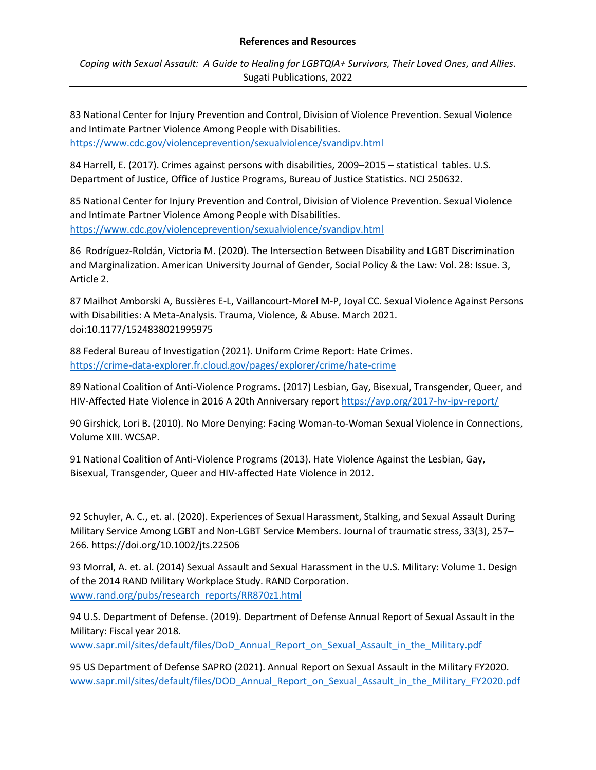*Coping with Sexual Assault: A Guide to Healing for LGBTQIA+ Survivors, Their Loved Ones, and Allies*. Sugati Publications, 2022

83 National Center for Injury Prevention and Control, Division of Violence Prevention. Sexual Violence and Intimate Partner Violence Among People with Disabilities. <https://www.cdc.gov/violenceprevention/sexualviolence/svandipv.html>

84 Harrell, E. (2017). Crimes against persons with disabilities, 2009–2015 – statistical tables. U.S. Department of Justice, Office of Justice Programs, Bureau of Justice Statistics. NCJ 250632.

85 National Center for Injury Prevention and Control, Division of Violence Prevention. Sexual Violence and Intimate Partner Violence Among People with Disabilities. <https://www.cdc.gov/violenceprevention/sexualviolence/svandipv.html>

86 Rodríguez-Roldán, Victoria M. (2020). The Intersection Between Disability and LGBT Discrimination and Marginalization. American University Journal of Gender, Social Policy & the Law: Vol. 28: Issue. 3, Article 2.

87 Mailhot Amborski A, Bussières E-L, Vaillancourt-Morel M-P, Joyal CC. Sexual Violence Against Persons with Disabilities: A Meta-Analysis. Trauma, Violence, & Abuse. March 2021. doi:10.1177/1524838021995975

88 Federal Bureau of Investigation (2021). Uniform Crime Report: Hate Crimes. <https://crime-data-explorer.fr.cloud.gov/pages/explorer/crime/hate-crime>

89 National Coalition of Anti-Violence Programs. (2017) Lesbian, Gay, Bisexual, Transgender, Queer, and HIV-Affected Hate Violence in 2016 A 20th Anniversary report <https://avp.org/2017-hv-ipv-report/>

90 Girshick, Lori B. (2010). No More Denying: Facing Woman-to-Woman Sexual Violence in Connections, Volume XIII. WCSAP.

91 National Coalition of Anti-Violence Programs (2013). Hate Violence Against the Lesbian, Gay, Bisexual, Transgender, Queer and HIV-affected Hate Violence in 2012.

92 Schuyler, A. C., et. al. (2020). Experiences of Sexual Harassment, Stalking, and Sexual Assault During Military Service Among LGBT and Non-LGBT Service Members. Journal of traumatic stress, 33(3), 257– 266. https://doi.org/10.1002/jts.22506

93 Morral, A. et. al. (2014) Sexual Assault and Sexual Harassment in the U.S. Military: Volume 1. Design of the 2014 RAND Military Workplace Study. RAND Corporation. [www.rand.org/pubs/research\\_reports/RR870z1.html](http://www.rand.org/pubs/research_reports/RR870z1.html)

94 U.S. Department of Defense. (2019). Department of Defense Annual Report of Sexual Assault in the Military: Fiscal year 2018.

[www.sapr.mil/sites/default/files/DoD\\_Annual\\_Report\\_on\\_Sexual\\_Assault\\_in\\_the\\_Military.pdf](http://www.sapr.mil/sites/default/files/DoD_Annual_Report_on_Sexual_Assault_in_the_Military.pdf)

95 US Department of Defense SAPRO (2021). Annual Report on Sexual Assault in the Military FY2020. [www.sapr.mil/sites/default/files/DOD\\_Annual\\_Report\\_on\\_Sexual\\_Assault\\_in\\_the\\_Military\\_FY2020.pdf](http://www.sapr.mil/sites/default/files/DOD_Annual_Report_on_Sexual_Assault_in_the_Military_FY2020.pdf)